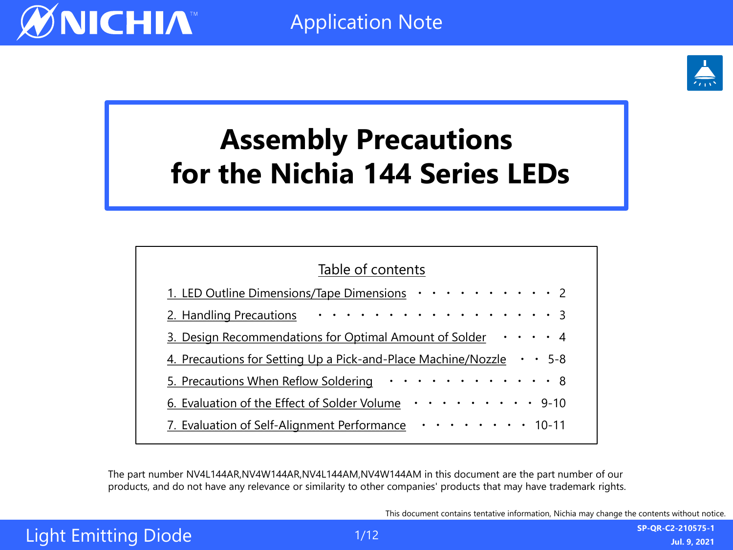

# **Assembly Precautions for the Nichia 144 Series LEDs**

| Table of contents                                                               |  |  |
|---------------------------------------------------------------------------------|--|--|
| 1. LED Outline Dimensions/Tape Dimensions · · · · · · · · · · 2                 |  |  |
| 2. Handling Precautions 3                                                       |  |  |
| 3. Design Recommendations for Optimal Amount of Solder $\cdots$ 14              |  |  |
| 4. Precautions for Setting Up a Pick-and-Place Machine/Nozzle $\cdot \cdot$ 5-8 |  |  |
| 5. Precautions When Reflow Soldering 8                                          |  |  |
| 6. Evaluation of the Effect of Solder Volume $\cdots \cdots \cdots$ 9-10        |  |  |
| 7. Evaluation of Self-Alignment Performance ·········10-11                      |  |  |
|                                                                                 |  |  |

The part number NV4L144AR,NV4W144AR,NV4L144AM,NV4W144AM in this document are the part number of our products, and do not have any relevance or similarity to other companies' products that may have trademark rights.

This document contains tentative information, Nichia may change the contents without notice.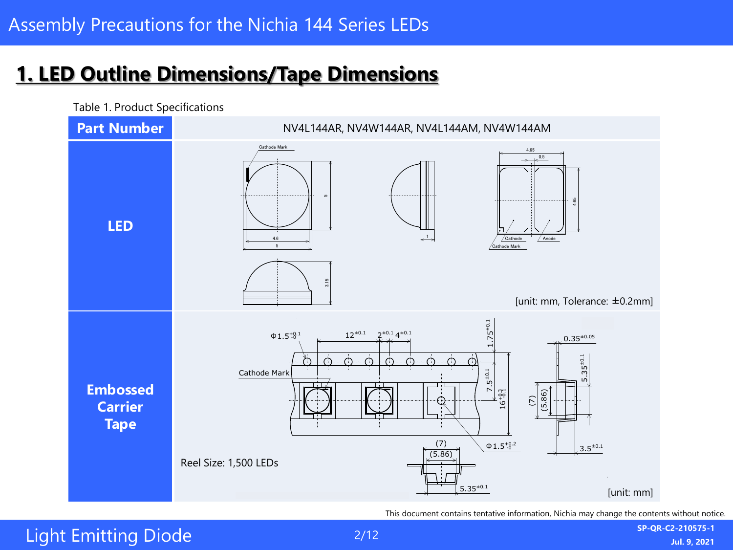#### <span id="page-1-0"></span>**1. LED Outline Dimensions/Tape Dimensions** STS-DA7-9306A NV4L144AM 管理番号 No.  $\mathcal{L}$  isotions with RoHS Directions with RoHS Directions  $\mathcal{L}$



Table 1. Product Specifications

This document contains tentative information, Nichia may change the contents without notice.

3.15 5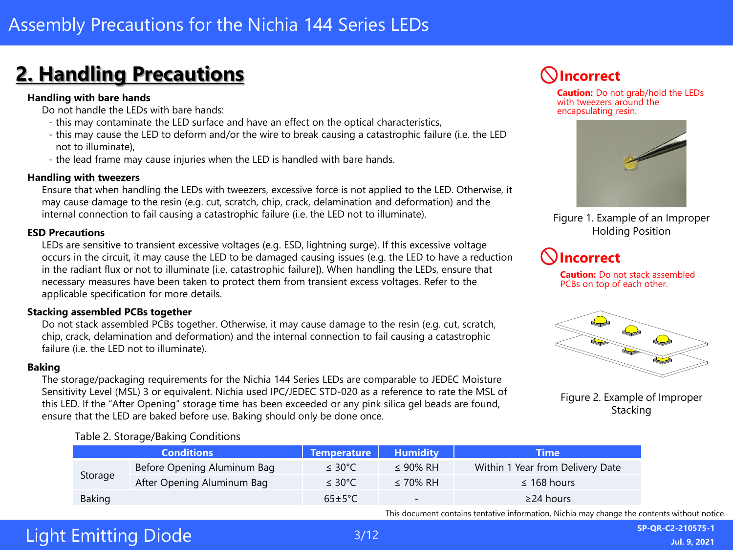# <span id="page-2-0"></span>**2. Handling Precautions Incorrect**

#### **Handling with bare hands**

Do not handle the LEDs with bare hands:

- this may contaminate the LED surface and have an effect on the optical characteristics,
- this may cause the LED to deform and/or the wire to break causing a catastrophic failure (i.e. the LED not to illuminate),
- the lead frame may cause injuries when the LED is handled with bare hands.

#### **Handling with tweezers**

Ensure that when handling the LEDs with tweezers, excessive force is not applied to the LED. Otherwise, it may cause damage to the resin (e.g. cut, scratch, chip, crack, delamination and deformation) and the internal connection to fail causing a catastrophic failure (i.e. the LED not to illuminate).

#### **ESD Precautions**

LEDs are sensitive to transient excessive voltages (e.g. ESD, lightning surge). If this excessive voltage occurs in the circuit, it may cause the LED to be damaged causing issues (e.g. the LED to have a reduction in the radiant flux or not to illuminate [i.e. catastrophic failure]). When handling the LEDs, ensure that necessary measures have been taken to protect them from transient excess voltages. Refer to the applicable specification for more details.

#### **Stacking assembled PCBs together**

Do not stack assembled PCBs together. Otherwise, it may cause damage to the resin (e.g. cut, scratch, chip, crack, delamination and deformation) and the internal connection to fail causing a catastrophic failure (i.e. the LED not to illuminate).

#### **Baking**

The storage/packaging requirements for the Nichia 144 Series LEDs are comparable to JEDEC Moisture Sensitivity Level (MSL) 3 or equivalent. Nichia used IPC/JEDEC STD-020 as a reference to rate the MSL of this LED. If the "After Opening" storage time has been exceeded or any pink silica gel beads are found, ensure that the LED are baked before use. Baking should only be done once.

#### Table 2. Storage/Baking Conditions



This document contains tentative information, Nichia may change the contents without notice.

# Light Emitting Diode



**Caution:** Do not grab/hold the LEDs with tweezers around the encapsulating resin.



Figure 1. Example of an Improper Holding Position

#### **Incorrect**

**Caution:** Do not stack assembled PCBs on top of each other.



Figure 2. Example of Improper **Stacking**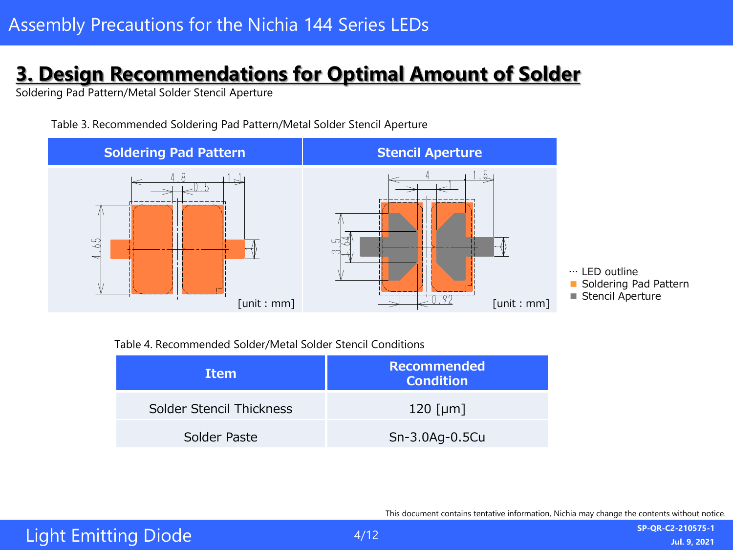# <span id="page-3-0"></span>**3. Design Recommendations for Optimal Amount of Solder**

Soldering Pad Pattern/Metal Solder Stencil Aperture



Table 3. Recommended Soldering Pad Pattern/Metal Solder Stencil Aperture

Table 4. Recommended Solder/Metal Solder Stencil Conditions

| <b>Item</b>              | <b>Recommended</b><br><b>Condition</b> |  |
|--------------------------|----------------------------------------|--|
| Solder Stencil Thickness | 120 [ $\mu$ m]                         |  |
| Solder Paste             | Sn-3.0Ag-0.5Cu                         |  |

This document contains tentative information, Nichia may change the contents without notice.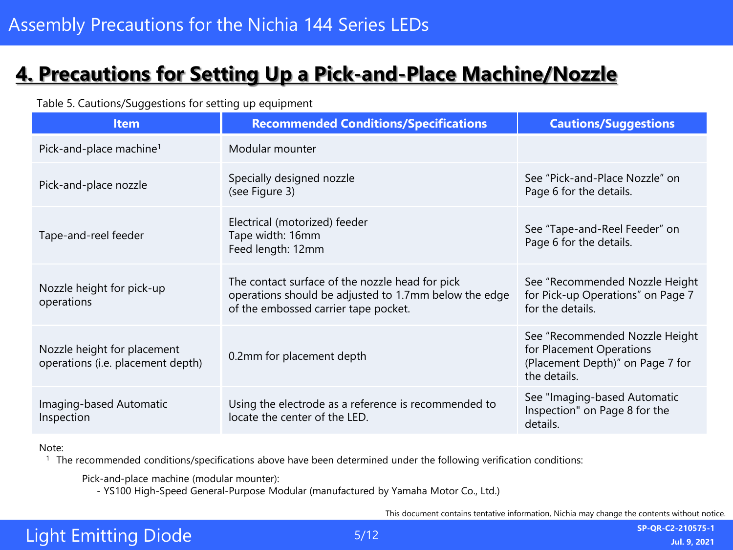# <span id="page-4-0"></span>**4. Precautions for Setting Up a Pick-and-Place Machine/Nozzle**

Table 5. Cautions/Suggestions for setting up equipment

| <b>Item</b>                                                      | <b>Recommended Conditions/Specifications</b>                                                                                                     | <b>Cautions/Suggestions</b>                                                                                    |
|------------------------------------------------------------------|--------------------------------------------------------------------------------------------------------------------------------------------------|----------------------------------------------------------------------------------------------------------------|
| Pick-and-place machine <sup>1</sup>                              | Modular mounter                                                                                                                                  |                                                                                                                |
| Pick-and-place nozzle                                            | Specially designed nozzle<br>(see Figure 3)                                                                                                      | See "Pick-and-Place Nozzle" on<br>Page 6 for the details.                                                      |
| Tape-and-reel feeder                                             | Electrical (motorized) feeder<br>Tape width: 16mm<br>Feed length: 12mm                                                                           | See "Tape-and-Reel Feeder" on<br>Page 6 for the details.                                                       |
| Nozzle height for pick-up<br>operations                          | The contact surface of the nozzle head for pick<br>operations should be adjusted to 1.7mm below the edge<br>of the embossed carrier tape pocket. | See "Recommended Nozzle Height<br>for Pick-up Operations" on Page 7<br>for the details.                        |
| Nozzle height for placement<br>operations (i.e. placement depth) | 0.2mm for placement depth                                                                                                                        | See "Recommended Nozzle Height<br>for Placement Operations<br>(Placement Depth)" on Page 7 for<br>the details. |
| Imaging-based Automatic<br>Inspection                            | Using the electrode as a reference is recommended to<br>locate the center of the LED.                                                            | See "Imaging-based Automatic<br>Inspection" on Page 8 for the<br>details.                                      |

#### Note:

<sup>1</sup> The recommended conditions/specifications above have been determined under the following verification conditions:

Pick-and-place machine (modular mounter):

- YS100 High-Speed General-Purpose Modular (manufactured by Yamaha Motor Co., Ltd.)

This document contains tentative information, Nichia may change the contents without notice.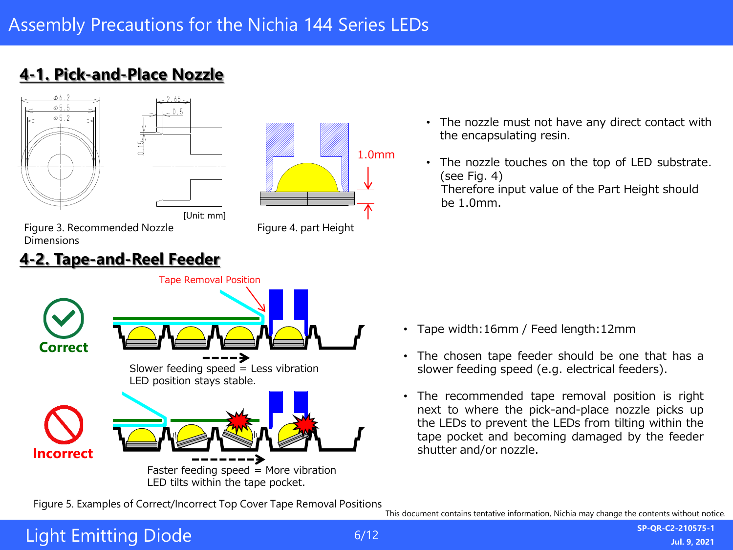





[Unit: mm]



Figure 3. Recommended Nozzle Dimensions

#### **4-2. Tape-and-Reel Feeder**



- The nozzle must not have any direct contact with the encapsulating resin.
- The nozzle touches on the top of LED substrate. (see Fig. 4) Therefore input value of the Part Height should be 1.0mm.

- Tape width:16mm / Feed length:12mm
- The chosen tape feeder should be one that has a slower feeding speed (e.g. electrical feeders).
- The recommended tape removal position is right next to where the pick-and-place nozzle picks up the LEDs to prevent the LEDs from tilting within the tape pocket and becoming damaged by the feeder shutter and/or nozzle.

This document contains tentative information, Nichia may change the contents without notice. Figure 5. Examples of Correct/Incorrect Top Cover Tape Removal Positions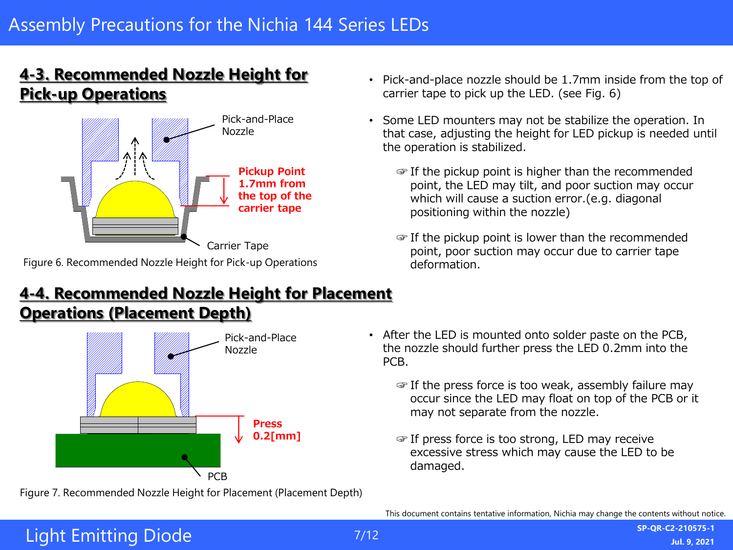#### **4-3. Recommended Nozzle Height for Pick-up Operations**



Figure 6. Recommended Nozzle Height for Pick-up Operations

#### **4-4. Recommended Nozzle Height for Placement Operations (Placement Depth)**



Figure 7. Recommended Nozzle Height for Placement (Placement Depth)

- Pick-and-place nozzle should be 1.7mm inside from the top of carrier tape to pick up the LED. (see Fig. 6)
- Some LED mounters may not be stabilize the operation. In that case, adjusting the height for LED pickup is needed until the operation is stabilized.
	- ☞ If the pickup point is higher than the recommended point, the LED may tilt, and poor suction may occur which will cause a suction error.(e.g. diagonal positioning within the nozzle)
	- ☞ If the pickup point is lower than the recommended point, poor suction may occur due to carrier tape deformation.

- After the LED is mounted onto solder paste on the PCB, the nozzle should further press the LED 0.2mm into the PCB.
	- ☞ If the press force is too weak, assembly failure may occur since the LED may float on top of the PCB or it may not separate from the nozzle.
	- ☞ If press force is too strong, LED may receive excessive stress which may cause the LED to be damaged.

This document contains tentative information, Nichia may change the contents without notice.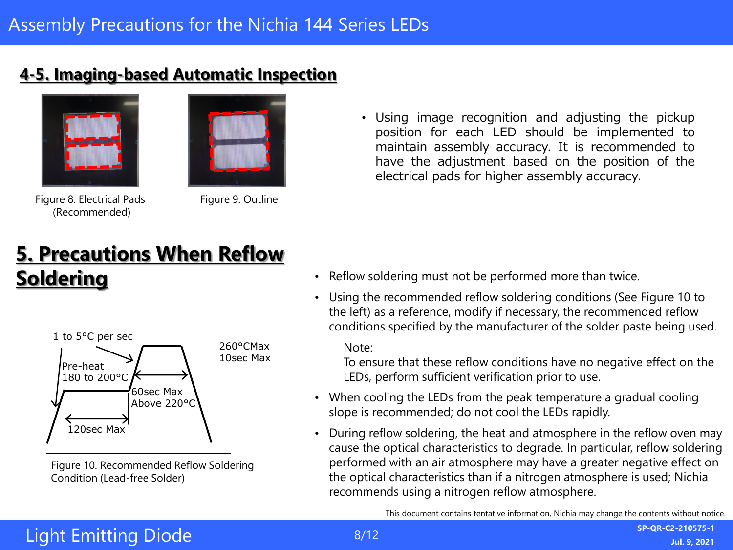#### <span id="page-7-0"></span>**4-5. Imaging-based Automatic Inspection**





Figure 8. Electrical Pads (Recommended)

Figure 9. Outline

# **5. Precautions When Reflow Soldering**



Figure 10. Recommended Reflow Soldering Condition (Lead-free Solder)

• Using image recognition and adjusting the pickup position for each LED should be implemented to maintain assembly accuracy. It is recommended to have the adjustment based on the position of the electrical pads for higher assembly accuracy.

- Reflow soldering must not be performed more than twice.
- Using the recommended reflow soldering conditions (See Figure 10 to the left) as a reference, modify if necessary, the recommended reflow conditions specified by the manufacturer of the solder paste being used.

Note:

To ensure that these reflow conditions have no negative effect on the LEDs, perform sufficient verification prior to use.

- When cooling the LEDs from the peak temperature a gradual cooling slope is recommended; do not cool the LEDs rapidly.
- During reflow soldering, the heat and atmosphere in the reflow oven may cause the optical characteristics to degrade. In particular, reflow soldering performed with an air atmosphere may have a greater negative effect on the optical characteristics than if a nitrogen atmosphere is used; Nichia recommends using a nitrogen reflow atmosphere.

This document contains tentative information, Nichia may change the contents without notice.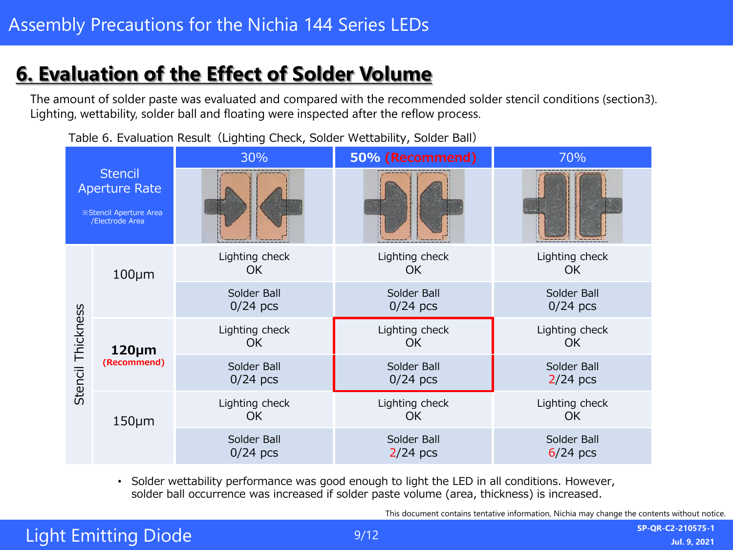# <span id="page-8-0"></span>**6. Evaluation of the Effect of Solder Volume**

The amount of solder paste was evaluated and compared with the recommended solder stencil conditions (section3). Lighting, wettability, solder ball and floating were inspected after the reflow process.

Table 6. Evaluation Result (Lighting Check, Solder Wettability, Solder Ball)



• Solder wettability performance was good enough to light the LED in all conditions. However, solder ball occurrence was increased if solder paste volume (area, thickness) is increased.

This document contains tentative information, Nichia may change the contents without notice.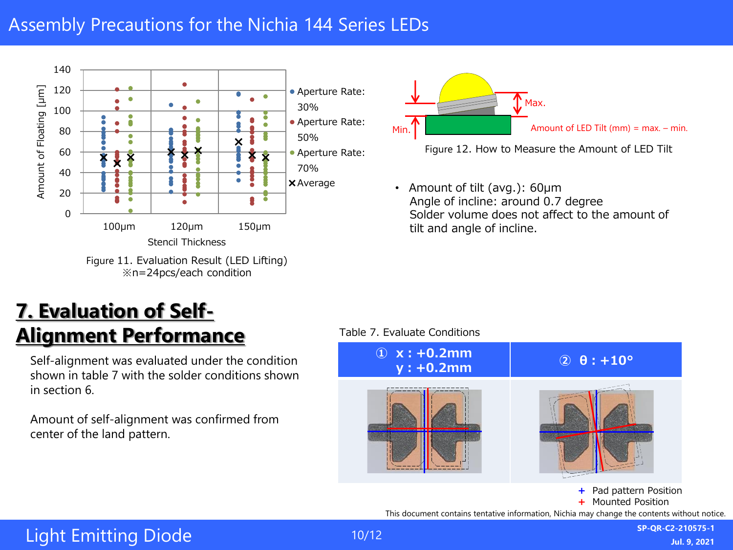### <span id="page-9-0"></span>Assembly Precautions for the Nichia 144 Series LEDs



# **7. Evaluation of Self-Alignment Performance**

Self-alignment was evaluated under the condition shown in table 7 with the solder conditions shown in section 6.

Amount of self-alignment was confirmed from center of the land pattern.



Figure 12. How to Measure the Amount of LED Tilt

• Amount of tilt (avg.): 60μm Angle of incline: around 0.7 degree Solder volume does not affect to the amount of tilt and angle of incline.

#### Table 7. Evaluate Conditions

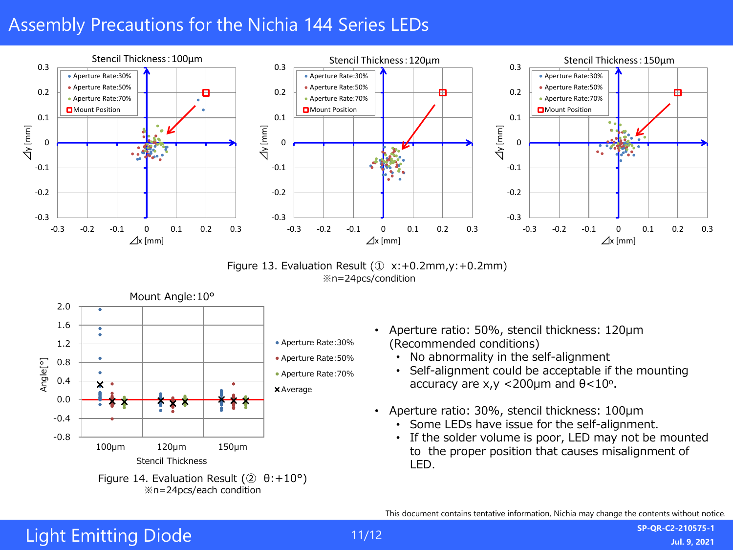### Assembly Precautions for the Nichia 144 Series LEDs



Figure 13. Evaluation Result  $(① x: +0.2mm, y: +0.2mm)$ ※n=24pcs/condition



- Aperture ratio: 50%, stencil thickness: 120μm (Recommended conditions)
	- No abnormality in the self-alignment
	- Self-alignment could be acceptable if the mounting accuracy are  $x,y < 200 \mu m$  and  $\theta < 10^{\circ}$ .
- Aperture ratio: 30%, stencil thickness: 100μm
	- Some LEDs have issue for the self-alignment.
	- If the solder volume is poor, LED may not be mounted to the proper position that causes misalignment of LED.

This document contains tentative information, Nichia may change the contents without notice.